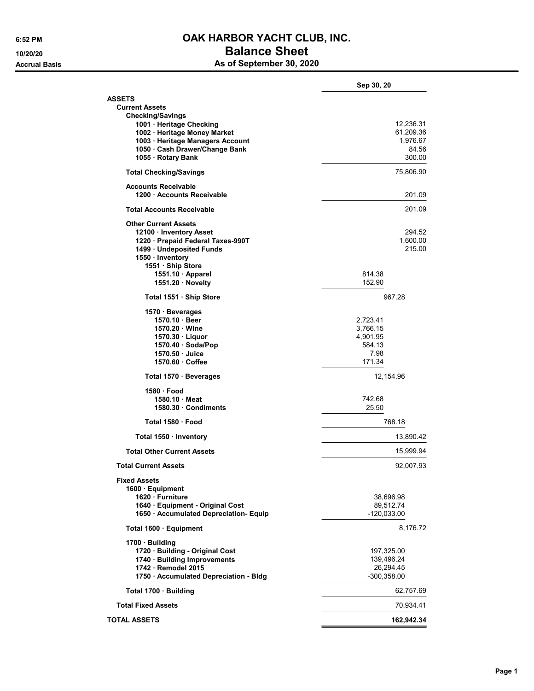## 6:52 PM **OAK HARBOR YACHT CLUB, INC.** 10/20/20 **Balance Sheet**

Accrual Basis **Accrual Basis** As of September 30, 2020

|                                                    | Sep 30, 20        |
|----------------------------------------------------|-------------------|
| <b>ASSETS</b>                                      |                   |
| <b>Current Assets</b>                              |                   |
| <b>Checking/Savings</b>                            |                   |
| 1001 · Heritage Checking                           | 12,236.31         |
| 1002 · Heritage Money Market                       | 61,209.36         |
| 1003 · Heritage Managers Account                   | 1,976.67<br>84.56 |
| 1050 Cash Drawer/Change Bank<br>1055 · Rotary Bank | 300.00            |
| <b>Total Checking/Savings</b>                      | 75,806.90         |
| Accounts Receivable                                |                   |
| 1200 · Accounts Receivable                         | 201.09            |
| Total Accounts Receivable                          | 201.09            |
| <b>Other Current Assets</b>                        |                   |
| 12100 · Inventory Asset                            | 294.52            |
| 1220 · Prepaid Federal Taxes-990T                  | 1,600.00          |
| 1499 · Undeposited Funds<br>1550 · Inventory       | 215.00            |
| 1551 · Ship Store                                  |                   |
| 1551.10 Apparel                                    | 814.38            |
| 1551.20 Novelty                                    | 152.90            |
| Total 1551 · Ship Store                            | 967.28            |
| 1570 Beverages                                     |                   |
| 1570.10 Beer                                       | 2.723.41          |
| 1570.20 Wlne                                       | 3,766.15          |
| 1570.30 Liquor                                     | 4,901.95          |
| 1570.40 · Soda/Pop                                 | 584.13            |
| 1570.50 Juice                                      | 7.98              |
| 1570.60 Coffee                                     | 171.34            |
| Total 1570 · Beverages                             | 12,154.96         |
| 1580 Food                                          |                   |
| 1580.10 Meat                                       | 742.68            |
| 1580.30 Condiments                                 | 25.50             |
| Total 1580 · Food                                  | 768.18            |
| Total 1550 · Inventory                             | 13,890.42         |
| <b>Total Other Current Assets</b>                  | 15,999.94         |
| <b>Total Current Assets</b>                        | 92,007.93         |
| <b>Fixed Assets</b><br>1600 · Equipment            |                   |
| 1620 · Furniture                                   | 38,696.98         |
| 1640 · Equipment - Original Cost                   | 89,512.74         |
| 1650 · Accumulated Depreciation- Equip             | $-120,033.00$     |
| Total 1600 · Equipment                             | 8,176.72          |
| 1700 · Building                                    |                   |
| 1720 · Building - Original Cost                    | 197,325.00        |
| 1740 · Building Improvements                       | 139,496.24        |
| 1742 · Remodel 2015                                | 26,294.45         |
| 1750 · Accumulated Depreciation - Bldg             | $-300,358.00$     |
| Total 1700 · Building                              | 62,757.69         |
| <b>Total Fixed Assets</b>                          | 70,934.41         |
| <b>TOTAL ASSETS</b>                                | 162,942.34        |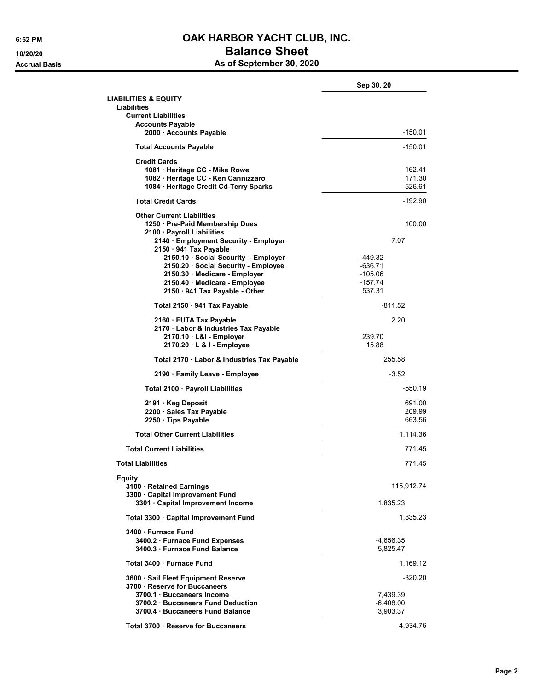## 6:52 PM **OAK HARBOR YACHT CLUB, INC.** 10/20/20 **Balance Sheet** Accrual Basis **Accrual Basis** As of September 30, 2020

|                                                                      | Sep 30, 20  |
|----------------------------------------------------------------------|-------------|
| <b>LIABILITIES &amp; EQUITY</b><br>Liabilities                       |             |
| <b>Current Liabilities</b>                                           |             |
| <b>Accounts Payable</b><br>2000 · Accounts Payable                   | $-150.01$   |
| <b>Total Accounts Payable</b>                                        | -150.01     |
| <b>Credit Cards</b>                                                  |             |
| 1081 · Heritage CC - Mike Rowe                                       | 162.41      |
| 1082 · Heritage CC - Ken Cannizzaro                                  | 171.30      |
| 1084 · Heritage Credit Cd-Terry Sparks                               | -526.61     |
| <b>Total Credit Cards</b>                                            | $-192.90$   |
| <b>Other Current Liabilities</b>                                     |             |
| 1250 · Pre-Paid Membership Dues                                      | 100.00      |
| 2100 · Payroll Liabilities                                           |             |
| 2140 · Employment Security - Employer                                | 7.07        |
| 2150 · 941 Tax Payable                                               |             |
| 2150.10 · Social Security - Employer                                 | -449.32     |
| 2150.20 Social Security - Employee                                   | $-636.71$   |
| 2150.30 Medicare - Employer                                          | $-105.06$   |
| 2150.40 · Medicare - Employee                                        | $-157.74$   |
| 2150 · 941 Tax Payable - Other                                       | 537.31      |
| Total 2150 · 941 Tax Payable                                         | $-811.52$   |
| 2160 FUTA Tax Payable                                                | 2.20        |
| 2170 · Labor & Industries Tax Payable                                |             |
| 2170.10 L&I - Employer                                               | 239.70      |
| 2170.20 · L & I - Employee                                           | 15.88       |
| Total 2170 · Labor & Industries Tax Payable                          | 255.58      |
| 2190 · Family Leave - Employee                                       | $-3.52$     |
| Total 2100 · Payroll Liabilities                                     | -550.19     |
| 2191 · Keg Deposit                                                   | 691.00      |
| 2200 · Sales Tax Payable                                             | 209.99      |
| 2250 · Tips Payable                                                  | 663.56      |
| <b>Total Other Current Liabilities</b>                               | 1,114.36    |
| <b>Total Current Liabilities</b>                                     | 771.45      |
| <b>Total Liabilities</b>                                             | 771.45      |
| <b>Equity</b>                                                        |             |
| 3100 · Retained Earnings<br>3300 · Capital Improvement Fund          | 115,912.74  |
| 3301 · Capital Improvement Income                                    | 1,835.23    |
| Total 3300 · Capital Improvement Fund                                | 1.835.23    |
| 3400 · Furnace Fund                                                  |             |
| 3400.2 · Furnace Fund Expenses                                       | -4,656.35   |
| 3400.3 · Furnace Fund Balance                                        | 5,825.47    |
| Total 3400 · Furnace Fund                                            | 1,169.12    |
| 3600 · Sail Fleet Equipment Reserve<br>3700 · Reserve for Buccaneers | $-320.20$   |
| 3700.1 Buccaneers Income                                             | 7,439.39    |
| 3700.2 Buccaneers Fund Deduction                                     | $-6,408.00$ |
| 3700.4 · Buccaneers Fund Balance                                     | 3,903.37    |
|                                                                      |             |
| Total 3700 · Reserve for Buccaneers                                  | 4,934.76    |